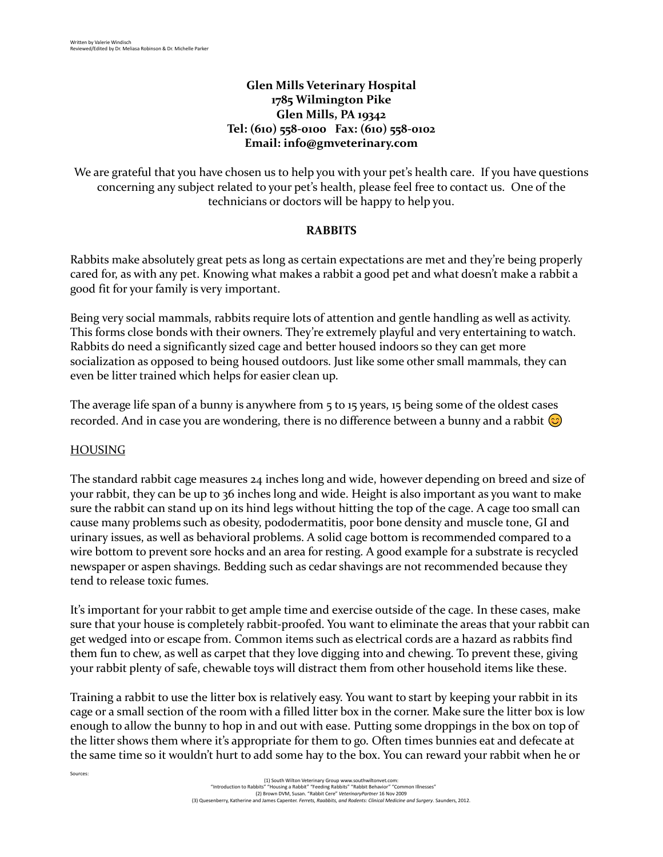### **Glen Mills Veterinary Hospital 1785 Wilmington Pike Glen Mills, PA 19342 Tel: (610) 558-0100 Fax: (610) 558-0102 Email: [info@gmveterinary.com](mailto:info@gmveterinary.com)**

We are grateful that you have chosen us to help you with your pet's health care. If you have questions concerning any subject related to your pet's health, please feel free to contact us. One of the technicians or doctors will be happy to help you.

#### **RABBITS**

Rabbits make absolutely great pets as long as certain expectations are met and they're being properly cared for, as with any pet. Knowing what makes a rabbit a good pet and what doesn't make a rabbit a good fit for your family is very important.

Being very social mammals, rabbits require lots of attention and gentle handling as well as activity. This forms close bonds with their owners. They're extremely playful and very entertaining to watch. Rabbits do need a significantly sized cage and better housed indoors so they can get more socialization as opposed to being housed outdoors. Just like some other small mammals, they can even be litter trained which helps for easier clean up.

The average life span of a bunny is anywhere from 5 to 15 years, 15 being some of the oldest cases recorded. And in case you are wondering, there is no difference between a bunny and a rabbit  $\bigcirc$ 

#### HOUSING

Sources:

The standard rabbit cage measures 24 inches long and wide, however depending on breed and size of your rabbit, they can be up to 36 inches long and wide. Height is also important as you want to make sure the rabbit can stand up on its hind legs without hitting the top of the cage. A cage too small can cause many problems such as obesity, pododermatitis, poor bone density and muscle tone, GI and urinary issues, as well as behavioral problems. A solid cage bottom is recommended compared to a wire bottom to prevent sore hocks and an area for resting. A good example for a substrate is recycled newspaper or aspen shavings. Bedding such as cedar shavings are not recommended because they tend to release toxic fumes.

It's important for your rabbit to get ample time and exercise outside of the cage. In these cases, make sure that your house is completely rabbit-proofed. You want to eliminate the areas that your rabbit can get wedged into or escape from. Common items such as electrical cords are a hazard as rabbits find them fun to chew, as well as carpet that they love digging into and chewing. To prevent these, giving your rabbit plenty of safe, chewable toys will distract them from other household items like these.

Training a rabbit to use the litter box is relatively easy. You want to start by keeping your rabbit in its cage or a small section of the room with a filled litter box in the corner. Make sure the litter box is low enough to allow the bunny to hop in and out with ease. Putting some droppings in the box on top of the litter shows them where it's appropriate for them to go. Often times bunnies eat and defecate at the same time so it wouldn't hurt to add some hay to the box. You can reward your rabbit when he or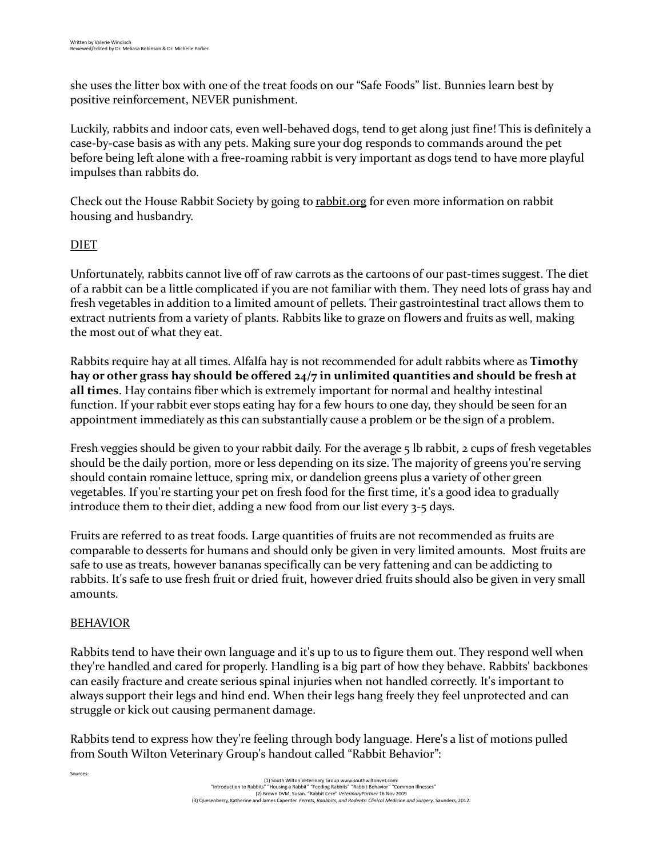she uses the litter box with one of the treat foods on our "Safe Foods" list. Bunnies learn best by positive reinforcement, NEVER punishment.

Luckily, rabbits and indoor cats, even well-behaved dogs, tend to get along just fine! This is definitely a case-by-case basis as with any pets. Making sure your dog responds to commands around the pet before being left alone with a free-roaming rabbit is very important as dogs tend to have more playful impulses than rabbits do.

Check out the House Rabbit Society by going to rabbit.org for even more information on rabbit housing and husbandry.

## DIET

Unfortunately, rabbits cannot live off of raw carrots as the cartoons of our past-times suggest. The diet of a rabbit can be a little complicated if you are not familiar with them. They need lots of grass hay and fresh vegetables in addition to a limited amount of pellets. Their gastrointestinal tract allows them to extract nutrients from a variety of plants. Rabbits like to graze on flowers and fruits as well, making the most out of what they eat.

Rabbits require hay at all times. Alfalfa hay is not recommended for adult rabbits where as **Timothy hay or other grass hay should be offered 24/7 in unlimited quantities and should be fresh at all times**. Hay contains fiber which is extremely important for normal and healthy intestinal function. If your rabbit ever stops eating hay for a few hours to one day, they should be seen for an appointment immediately as this can substantially cause a problem or be the sign of a problem.

Fresh veggies should be given to your rabbit daily. For the average 5 lb rabbit, 2 cups of fresh vegetables should be the daily portion, more or less depending on its size. The majority of greens you're serving should contain romaine lettuce, spring mix, or dandelion greens plus a variety of other green vegetables. If you're starting your pet on fresh food for the first time, it's a good idea to gradually introduce them to their diet, adding a new food from our list every 3-5 days.

Fruits are referred to as treat foods. Large quantities of fruits are not recommended as fruits are comparable to desserts for humans and should only be given in very limited amounts. Most fruits are safe to use as treats, however bananas specifically can be very fattening and can be addicting to rabbits. It's safe to use fresh fruit or dried fruit, however dried fruits should also be given in very small amounts.

## BEHAVIOR

Sources:

Rabbits tend to have their own language and it's up to us to figure them out. They respond well when they're handled and cared for properly. Handling is a big part of how they behave. Rabbits' backbones can easily fracture and create serious spinal injuries when not handled correctly. It's important to always support their legs and hind end. When their legs hang freely they feel unprotected and can struggle or kick out causing permanent damage.

Rabbits tend to express how they're feeling through body language. Here's a list of motions pulled from South Wilton Veterinary Group's handout called "Rabbit Behavior":